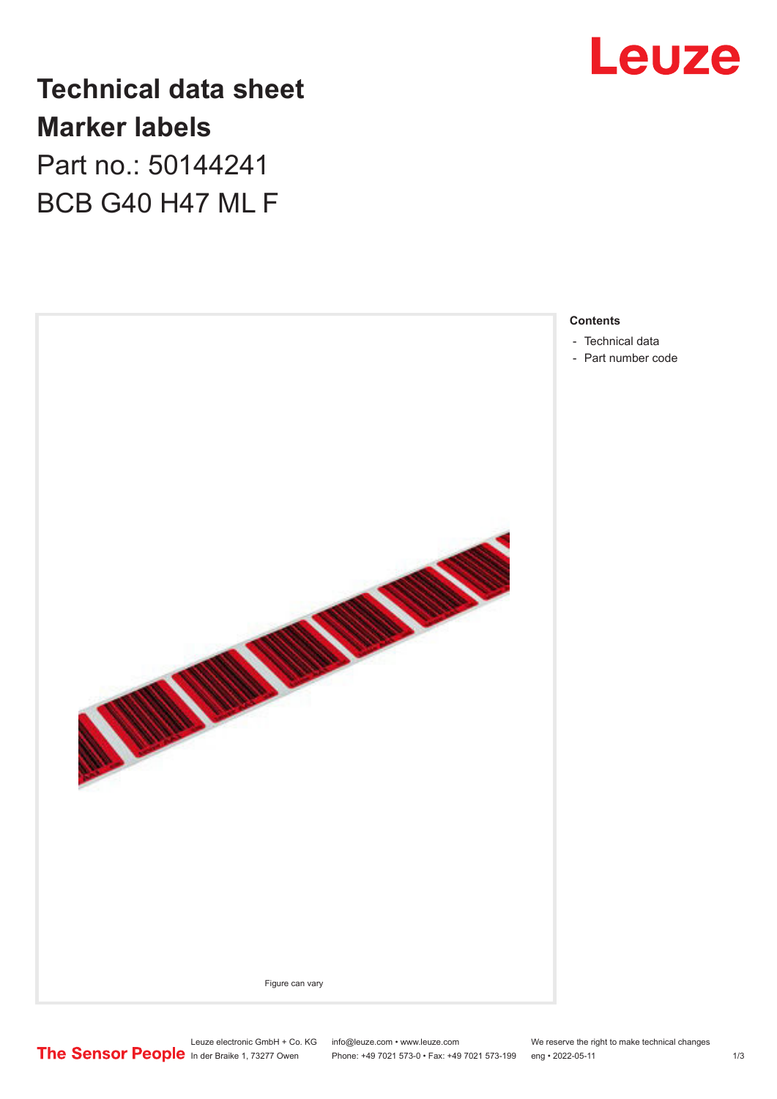

## **Technical data sheet Marker labels** Part no.: 50144241

BCB G40 H47 ML F



#### **Contents**

- [Technical data](#page-1-0)
- [Part number code](#page-1-0)

Leuze electronic GmbH + Co. KG info@leuze.com • www.leuze.com We reserve the right to make technical changes<br>
The Sensor People in der Braike 1, 73277 Owen Phone: +49 7021 573-0 • Fax: +49 7021 573-199 eng • 2022-05-11 Phone: +49 7021 573-0 • Fax: +49 7021 573-199 eng • 2022-05-11 1 2022-05-11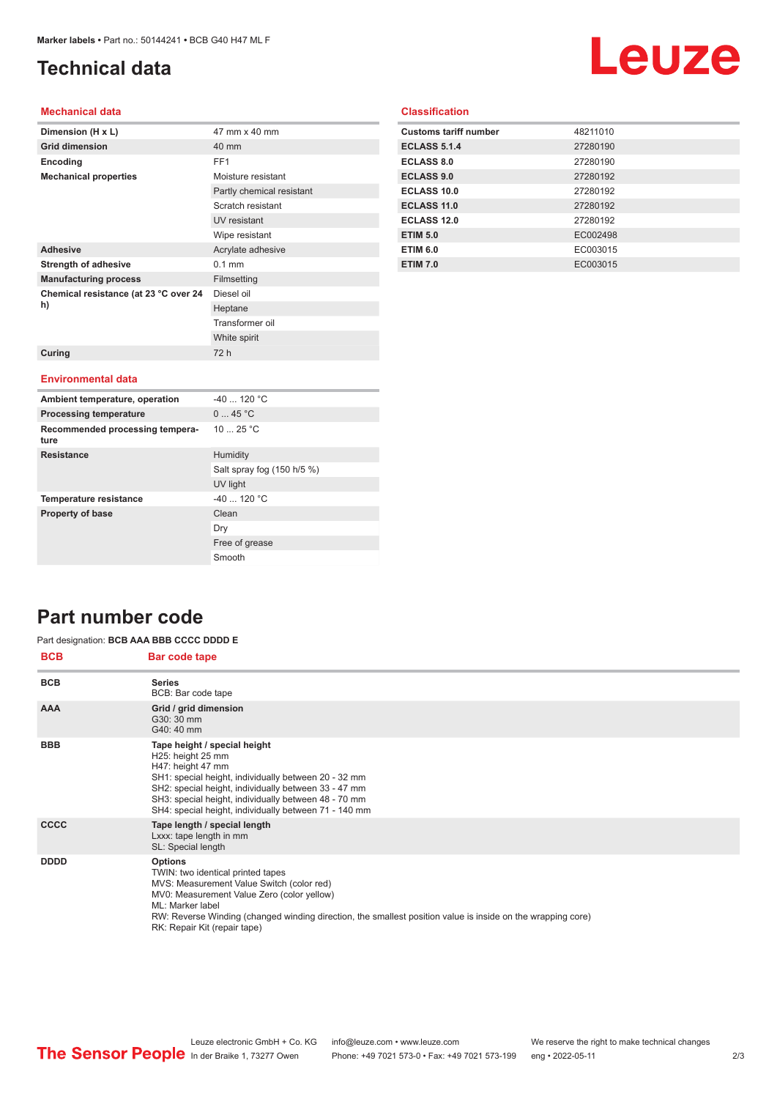## <span id="page-1-0"></span>**Technical data**

# Leuze

#### **Mechanical data**

| Dimension (H x L)                           | 47 mm x 40 mm             |
|---------------------------------------------|---------------------------|
| <b>Grid dimension</b>                       | 40 mm                     |
| Encoding                                    | FF <sub>1</sub>           |
| <b>Mechanical properties</b>                | Moisture resistant        |
|                                             | Partly chemical resistant |
|                                             | Scratch resistant         |
|                                             | UV resistant              |
|                                             | Wipe resistant            |
| <b>Adhesive</b>                             | Acrylate adhesive         |
| <b>Strength of adhesive</b>                 | $0.1$ mm                  |
| <b>Manufacturing process</b>                | Filmsetting               |
| Chemical resistance (at 23 °C over 24<br>h) | Diesel oil                |
|                                             | Heptane                   |
|                                             | Transformer oil           |
|                                             | White spirit              |
| Curing                                      | 72 h                      |
|                                             |                           |
| <b>Environmental data</b>                   |                           |
| Ambient temperature, operation              | $-40$ 120 °C              |
| <b>Processing temperature</b>               | 045 °C                    |
| Recommended processing tempera-<br>ture     | 1025 °C                   |

Salt spray fog (150 h/5 %)

UV light

Free of grease Smooth

Dry

|  | <b>Classification</b> |  |
|--|-----------------------|--|
|  |                       |  |
|  |                       |  |

| <b>Customs tariff number</b> | 48211010 |
|------------------------------|----------|
| <b>ECLASS 5.1.4</b>          | 27280190 |
| <b>ECLASS 8.0</b>            | 27280190 |
| <b>ECLASS 9.0</b>            | 27280192 |
| ECLASS 10.0                  | 27280192 |
| <b>ECLASS 11.0</b>           | 27280192 |
| <b>ECLASS 12.0</b>           | 27280192 |
| <b>ETIM 5.0</b>              | EC002498 |
| <b>ETIM 6.0</b>              | EC003015 |
| <b>ETIM 7.0</b>              | EC003015 |

### **Part number code**

#### **BCB Bar code tape** Part designation: **BCB AAA BBB CCCC DDDD E**

**Resistance** Humidity

**Temperature resistance**  $-40$  ... 120 °C **Property of base** Clean

| <b>DVD</b>  | Dal coue tape                                                                                                                                                                                                                                                                                                     |
|-------------|-------------------------------------------------------------------------------------------------------------------------------------------------------------------------------------------------------------------------------------------------------------------------------------------------------------------|
| <b>BCB</b>  | <b>Series</b><br>BCB: Bar code tape                                                                                                                                                                                                                                                                               |
| <b>AAA</b>  | Grid / grid dimension<br>G30: 30 mm<br>G40: 40 mm                                                                                                                                                                                                                                                                 |
| <b>BBB</b>  | Tape height / special height<br>H25: height 25 mm<br>H47: height 47 mm<br>SH1: special height, individually between 20 - 32 mm<br>SH2: special height, individually between 33 - 47 mm<br>SH3: special height, individually between 48 - 70 mm<br>SH4: special height, individually between 71 - 140 mm           |
| <b>CCCC</b> | Tape length / special length<br>Lxxx: tape length in mm<br>SL: Special length                                                                                                                                                                                                                                     |
| <b>DDDD</b> | <b>Options</b><br>TWIN: two identical printed tapes<br>MVS: Measurement Value Switch (color red)<br>MV0: Measurement Value Zero (color yellow)<br>ML: Marker label<br>RW: Reverse Winding (changed winding direction, the smallest position value is inside on the wrapping core)<br>RK: Repair Kit (repair tape) |